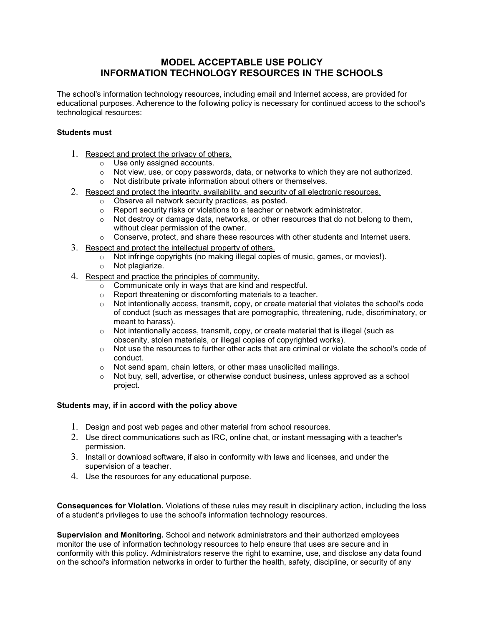## **MODEL ACCEPTABLE USE POLICY INFORMATION TECHNOLOGY RESOURCES IN THE SCHOOLS**

The school's information technology resources, including email and Internet access, are provided for educational purposes. Adherence to the following policy is necessary for continued access to the school's technological resources:

## **Students must**

- 1. Respect and protect the privacy of others.
	- o Use only assigned accounts.
	- $\circ$  Not view, use, or copy passwords, data, or networks to which they are not authorized.
	- o Not distribute private information about others or themselves.
- 2. Respect and protect the integrity, availability, and security of all electronic resources.
	- o Observe all network security practices, as posted.
	- o Report security risks or violations to a teacher or network administrator.
	- $\circ$  Not destroy or damage data, networks, or other resources that do not belong to them, without clear permission of the owner.
	- $\circ$  Conserve, protect, and share these resources with other students and Internet users.
- 3. Respect and protect the intellectual property of others.
	- o Not infringe copyrights (no making illegal copies of music, games, or movies!).
	- o Not plagiarize.
- 4. Respect and practice the principles of community.
	- o Communicate only in ways that are kind and respectful.
	- $\circ$  Report threatening or discomforting materials to a teacher.<br>  $\circ$  Not intentionally access, transmit, copy, or create material to
	- Not intentionally access, transmit, copy, or create material that violates the school's code of conduct (such as messages that are pornographic, threatening, rude, discriminatory, or meant to harass).
	- $\circ$  Not intentionally access, transmit, copy, or create material that is illegal (such as obscenity, stolen materials, or illegal copies of copyrighted works).
	- o Not use the resources to further other acts that are criminal or violate the school's code of conduct.
	- o Not send spam, chain letters, or other mass unsolicited mailings.
	- $\circ$  Not buy, sell, advertise, or otherwise conduct business, unless approved as a school project.

## **Students may, if in accord with the policy above**

- 1. Design and post web pages and other material from school resources.
- 2. Use direct communications such as IRC, online chat, or instant messaging with a teacher's permission.
- 3. Install or download software, if also in conformity with laws and licenses, and under the supervision of a teacher.
- 4. Use the resources for any educational purpose.

**Consequences for Violation.** Violations of these rules may result in disciplinary action, including the loss of a student's privileges to use the school's information technology resources.

**Supervision and Monitoring.** School and network administrators and their authorized employees monitor the use of information technology resources to help ensure that uses are secure and in conformity with this policy. Administrators reserve the right to examine, use, and disclose any data found on the school's information networks in order to further the health, safety, discipline, or security of any